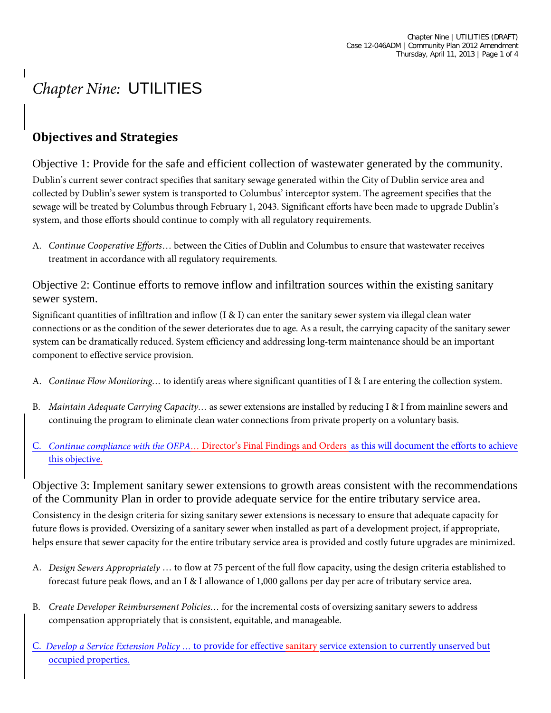## *Chapter Nine:* UTILITIES

## **Objectives and Strategies**

Objective 1: Provide for the safe and efficient collection of wastewater generated by the community. Dublin's current sewer contract specifies that sanitary sewage generated within the City of Dublin service area and collected by Dublin's sewer system is transported to Columbus' interceptor system. The agreement specifies that the sewage will be treated by Columbus through February 1, 2043. Significant efforts have been made to upgrade Dublin's system, and those efforts should continue to comply with all regulatory requirements.

A. *Continue Cooperative Efforts*… between the Cities of Dublin and Columbus to ensure that wastewater receives treatment in accordance with all regulatory requirements.

Objective 2: Continue efforts to remove inflow and infiltration sources within the existing sanitary sewer system.

Significant quantities of infiltration and inflow  $(I \& I)$  can enter the sanitary sewer system via illegal clean water connections or as the condition of the sewer deteriorates due to age. As a result, the carrying capacity of the sanitary sewer system can be dramatically reduced. System efficiency and addressing long-term maintenance should be an important component to effective service provision.

- A. *Continue Flow Monitoring…* to identify areas where significant quantities of I & I are entering the collection system.
- B. *Maintain Adequate Carrying Capacity…* as sewer extensions are installed by reducing I & I from mainline sewers and continuing the program to eliminate clean water connections from private property on a voluntary basis.
- C. *Continue compliance with the OEPA…* Director's Final Findings and Orders as this will document the efforts to achieve this objective.

Objective 3: Implement sanitary sewer extensions to growth areas consistent with the recommendations of the Community Plan in order to provide adequate service for the entire tributary service area.

Consistency in the design criteria for sizing sanitary sewer extensions is necessary to ensure that adequate capacity for future flows is provided. Oversizing of a sanitary sewer when installed as part of a development project, if appropriate, helps ensure that sewer capacity for the entire tributary service area is provided and costly future upgrades are minimized.

- A. *Design Sewers Appropriately* … to flow at 75 percent of the full flow capacity, using the design criteria established to forecast future peak flows, and an I & I allowance of 1,000 gallons per day per acre of tributary service area.
- B. *Create Developer Reimbursement Policies…* for the incremental costs of oversizing sanitary sewers to address compensation appropriately that is consistent, equitable, and manageable.
- C. *Develop a Service Extension Policy …* to provide for effective sanitary service extension to currently unserved but occupied properties.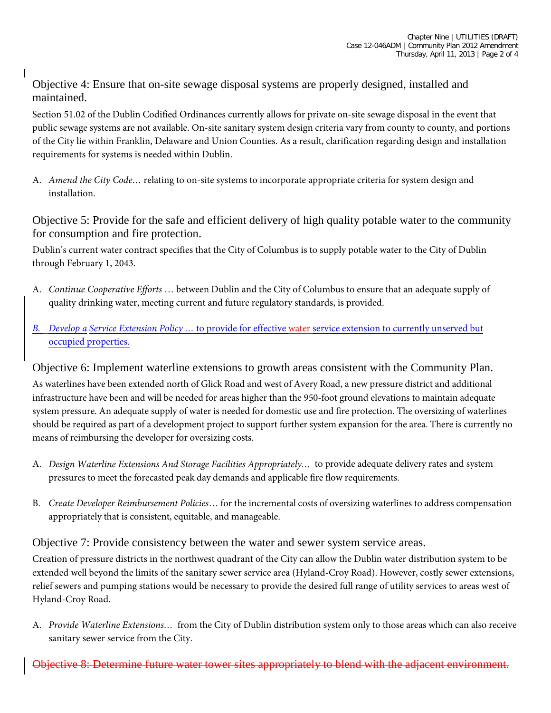Objective 4: Ensure that on-site sewage disposal systems are properly designed, installed and maintained.

Section 51.02 of the Dublin Codified Ordinances currently allows for private on-site sewage disposal in the event that public sewage systems are not available. On-site sanitary system design criteria vary from county to county, and portions of the City lie within Franklin, Delaware and Union Counties. As a result, clarification regarding design and installation requirements for systems is needed within Dublin.

A. *Amend the City Code…* relating to on-site systems to incorporate appropriate criteria for system design and installation.

Objective 5: Provide for the safe and efficient delivery of high quality potable water to the community for consumption and fire protection.

Dublin's current water contract specifies that the City of Columbus is to supply potable water to the City of Dublin through February 1, 2043.

- A. *Continue Cooperative Efforts* … between Dublin and the City of Columbus to ensure that an adequate supply of quality drinking water, meeting current and future regulatory standards, is provided.
- *B. Develop a Service Extension Policy …* to provide for effective water service extension to currently unserved but occupied properties.

## Objective 6: Implement waterline extensions to growth areas consistent with the Community Plan.

As waterlines have been extended north of Glick Road and west of Avery Road, a new pressure district and additional infrastructure have been and will be needed for areas higher than the 950-foot ground elevations to maintain adequate system pressure. An adequate supply of water is needed for domestic use and fire protection. The oversizing of waterlines should be required as part of a development project to support further system expansion for the area. There is currently no means of reimbursing the developer for oversizing costs.

- A. *Design Waterline Extensions And Storage Facilities Appropriately…* to provide adequate delivery rates and system pressures to meet the forecasted peak day demands and applicable fire flow requirements.
- B. *Create Developer Reimbursement Policies*… for the incremental costs of oversizing waterlines to address compensation appropriately that is consistent, equitable, and manageable.

Objective 7: Provide consistency between the water and sewer system service areas.

Creation of pressure districts in the northwest quadrant of the City can allow the Dublin water distribution system to be extended well beyond the limits of the sanitary sewer service area (Hyland-Croy Road). However, costly sewer extensions, relief sewers and pumping stations would be necessary to provide the desired full range of utility services to areas west of Hyland-Croy Road.

A. *Provide Waterline Extensions…* from the City of Dublin distribution system only to those areas which can also receive sanitary sewer service from the City.

Objective 8: Determine future water tower sites appropriately to blend with the adjacent environment.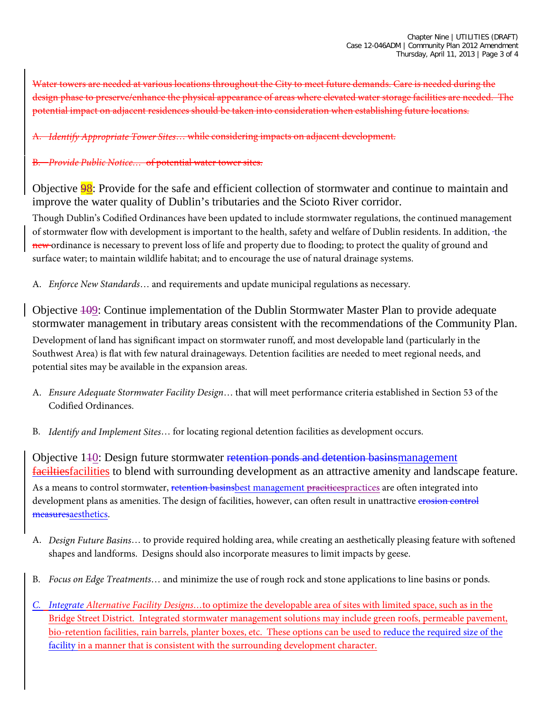Water towers are needed at various locations throughout the City to meet future demands. Care is needed during the design phase to preserve/enhance the physical appearance of areas where elevated water storage facilities are needed. The potential impact on adjacent residences should be taken into consideration when establishing future locations.

A. *Identify Appropriate Tower Sites*… while considering impacts on adjacent development.

## *Provide Public Notice...* of potential water tower sites.

Objective 98: Provide for the safe and efficient collection of stormwater and continue to maintain and improve the water quality of Dublin's tributaries and the Scioto River corridor.

Though Dublin's Codified Ordinances have been updated to include stormwater regulations, the continued management of stormwater flow with development is important to the health, safety and welfare of Dublin residents. In addition, the new ordinance is necessary to prevent loss of life and property due to flooding; to protect the quality of ground and surface water; to maintain wildlife habitat; and to encourage the use of natural drainage systems.

A. *Enforce New Standards*… and requirements and update municipal regulations as necessary.

Objective 109: Continue implementation of the Dublin Stormwater Master Plan to provide adequate stormwater management in tributary areas consistent with the recommendations of the Community Plan. Development of land has significant impact on stormwater runoff, and most developable land (particularly in the Southwest Area) is flat with few natural drainageways. Detention facilities are needed to meet regional needs, and potential sites may be available in the expansion areas.

- A. *Ensure Adequate Stormwater Facility Design*… that will meet performance criteria established in Section 53 of the Codified Ordinances.
- B. *Identify and Implement Sites*… for locating regional detention facilities as development occurs.

Objective 140: Design future stormwater retention ponds and detention basinsmanagement faciltiesfacilities to blend with surrounding development as an attractive amenity and landscape feature. As a means to control stormwater, retention basins best management pracitices practices are often integrated into development plans as amenities. The design of facilities, however, can often result in unattractive erosion control measuresaesthetics.

- A. *Design Future Basins*… to provide required holding area, while creating an aesthetically pleasing feature with softened shapes and landforms. Designs should also incorporate measures to limit impacts by geese.
- B. *Focus on Edge Treatments*… and minimize the use of rough rock and stone applications to line basins or ponds.
- *C. Integrate Alternative Facility Designs…*to optimize the developable area of sites with limited space, such as in the Bridge Street District. Integrated stormwater management solutions may include green roofs, permeable pavement, bio-retention facilities, rain barrels, planter boxes, etc. These options can be used to reduce the required size of the facility in a manner that is consistent with the surrounding development character.